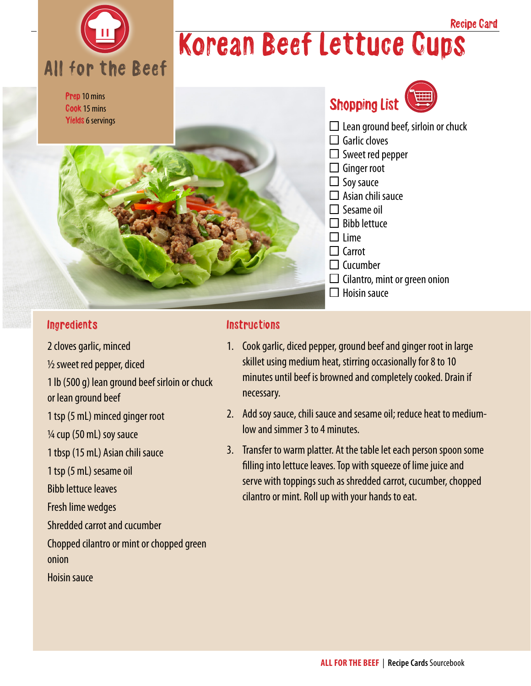

## Korean Beef Lettuce Cups Recipe Card

Prep 10 mins Cook 15 mins Yields 6 servings





- $\Box$  Lean ground beef, sirloin or chuck
- $\Box$  Garlic cloves
- $\Box$  Sweet red pepper
- $\Box$  Ginger root
- $\Box$  Soy sauce
- $\Box$  Asian chili sauce
- $\Box$  Sesame oil
- $\Box$  Bibb lettuce
- $\Box$  Lime
- $\Box$  Carrot
- $\Box$  Cucumber
- $\Box$  Cilantro, mint or green onion
- $\Box$  Hoisin sauce

#### **Ingredients**

2 cloves garlic, minced ½ sweet red pepper, diced

1 lb (500 g) lean ground beef sirloin or chuck

or lean ground beef

1 tsp (5 mL) minced ginger root

¼ cup (50 mL) soy sauce

1 tbsp (15 mL) Asian chili sauce

1 tsp (5 mL) sesame oil

Bibb lettuce leaves

Fresh lime wedges

Shredded carrot and cucumber

Chopped cilantro or mint or chopped green onion

Hoisin sauce

#### **Instructions**

- 1. Cook garlic, diced pepper, ground beef and ginger root in large skillet using medium heat, stirring occasionally for 8 to 10 minutes until beef is browned and completely cooked. Drain if necessary.
- 2. Add soy sauce, chili sauce and sesame oil; reduce heat to mediumlow and simmer 3 to 4 minutes.
- 3. Transfer to warm platter. At the table let each person spoon some filling into lettuce leaves. Top with squeeze of lime juice and serve with toppings such as shredded carrot, cucumber, chopped cilantro or mint. Roll up with your hands to eat.